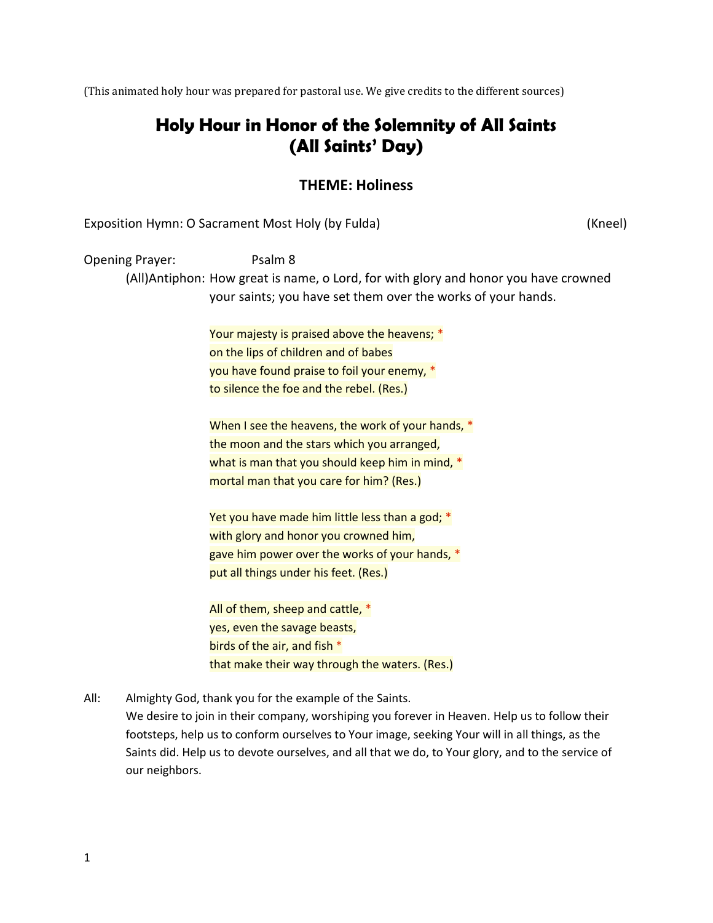(This animated holy hour was prepared for pastoral use. We give credits to the different sources)

## **Holy Hour in Honor of the Solemnity of All Saints (All Saints' Day)**

## **THEME: Holiness**

| Exposition Hymn: O Sacrament Most Holy (by Fulda) | (Kneel) |
|---------------------------------------------------|---------|
|---------------------------------------------------|---------|

| <b>Opening Prayer:</b> | Psalm 8                                                                             |
|------------------------|-------------------------------------------------------------------------------------|
|                        | (All)Antiphon: How great is name, o Lord, for with glory and honor you have crowned |
|                        | your saints; you have set them over the works of your hands.                        |
|                        |                                                                                     |
|                        | Your majesty is praised above the heavens; *                                        |
|                        | on the lips of children and of babes                                                |
|                        | you have found praise to foil your enemy, *                                         |
|                        | to silence the foe and the rebel. (Res.)                                            |
|                        |                                                                                     |
|                        | When I see the heavens, the work of your hands, *                                   |
|                        | the moon and the stars which you arranged,                                          |
|                        | what is man that you should keep him in mind, *                                     |
|                        | mortal man that you care for him? (Res.)                                            |
|                        |                                                                                     |
|                        | Yet you have made him little less than a god; *                                     |
|                        | with glory and honor you crowned him,                                               |
|                        | gave him power over the works of your hands, *                                      |
|                        | put all things under his feet. (Res.)                                               |
|                        |                                                                                     |
|                        | All of them, sheep and cattle, *                                                    |
|                        | yes, even the savage beasts,                                                        |
|                        | birds of the air, and fish *                                                        |
|                        | that make their way through the waters. (Res.)                                      |
| All:                   | Almighty God, thank you for the example of the Saints.                              |

We desire to join in their company, worshiping you forever in Heaven. Help us to follow their footsteps, help us to conform ourselves to Your image, seeking Your will in all things, as the Saints did. Help us to devote ourselves, and all that we do, to Your glory, and to the service of our neighbors.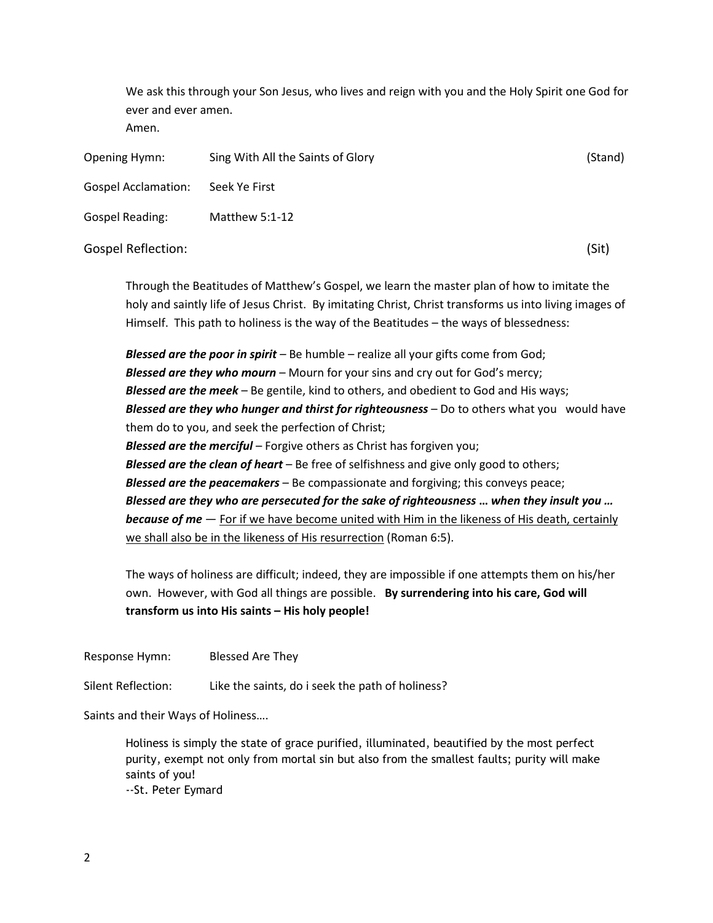We ask this through your Son Jesus, who lives and reign with you and the Holy Spirit one God for ever and ever amen. Amen.

| Opening Hymn:              | Sing With All the Saints of Glory | (Stand) |
|----------------------------|-----------------------------------|---------|
| <b>Gospel Acclamation:</b> | Seek Ye First                     |         |
| Gospel Reading:            | Matthew 5:1-12                    |         |
| <b>Gospel Reflection:</b>  |                                   | (Sit)   |

Through the Beatitudes of Matthew's Gospel, we learn the master plan of how to imitate the holy and saintly life of Jesus Christ. By imitating Christ, Christ transforms us into living images of Himself. This path to holiness is the way of the Beatitudes – the ways of blessedness:

*Blessed are the poor in spirit –* Be humble – realize all your gifts come from God; *Blessed are they who mourn* – Mourn for your sins and cry out for God's mercy; *Blessed are the meek* – Be gentile, kind to others, and obedient to God and His ways; *Blessed are they who hunger and thirst for righteousness* – Do to others what you would have them do to you, and seek the perfection of Christ; *Blessed are the merciful* – Forgive others as Christ has forgiven you; *Blessed are the clean of heart* – Be free of selfishness and give only good to others; *Blessed are the peacemakers* – Be compassionate and forgiving; this conveys peace; *Blessed are they who are persecuted for the sake of righteousness* **…** *when they insult you … because of me* — For if we have become united with Him in the likeness of His death, certainly

we shall also be in the likeness of His resurrection (Roman 6:5).

The ways of holiness are difficult; indeed, they are impossible if one attempts them on his/her own. However, with God all things are possible. **By surrendering into his care, God will transform us into His saints – His holy people!**

Response Hymn: Blessed Are They

Silent Reflection: Like the saints, do i seek the path of holiness?

Saints and their Ways of Holiness….

Holiness is simply the state of grace purified, illuminated, beautified by the most perfect purity, exempt not only from mortal sin but also from the smallest faults; purity will make saints of you! --St. Peter Eymard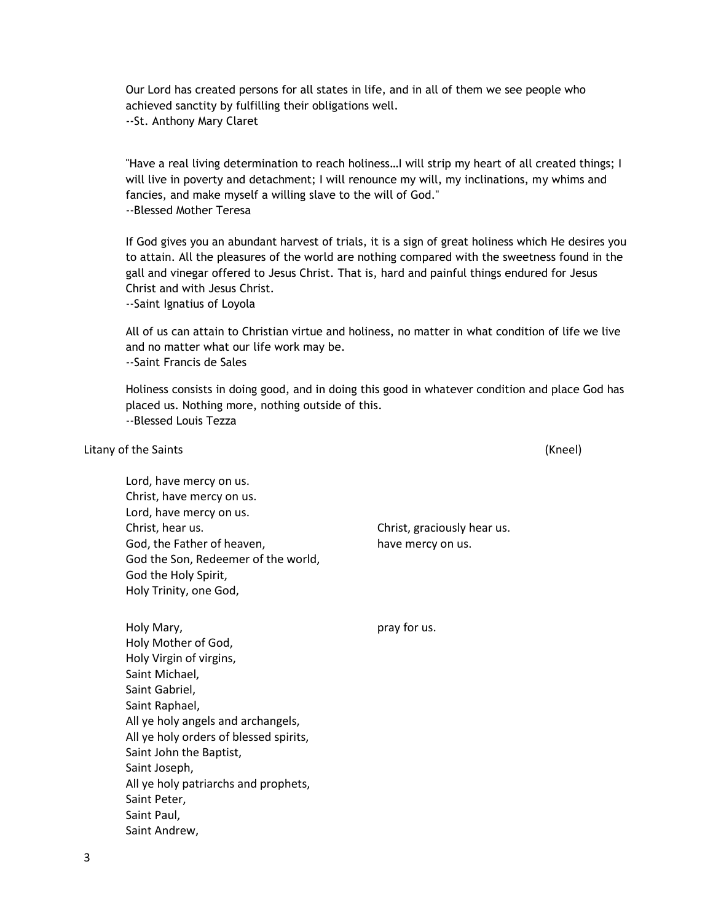Our Lord has created persons for all states in life, and in all of them we see people who achieved sanctity by fulfilling their obligations well. --St. Anthony Mary Claret

"Have a real living determination to reach holiness…I will strip my heart of all created things; I will live in poverty and detachment; I will renounce my will, my inclinations, my whims and fancies, and make myself a willing slave to the will of God." --Blessed Mother Teresa

If God gives you an abundant harvest of trials, it is a sign of great holiness which He desires you to attain. All the pleasures of the world are nothing compared with the sweetness found in the gall and vinegar offered to Jesus Christ. That is, hard and painful things endured for Jesus Christ and with Jesus Christ.

--Saint Ignatius of Loyola

All of us can attain to Christian virtue and holiness, no matter in what condition of life we live and no matter what our life work may be. --Saint Francis de Sales

Holiness consists in doing good, and in doing this good in whatever condition and place God has placed us. Nothing more, nothing outside of this. --Blessed Louis Tezza

Litany of the Saints (Kneel)

Lord, have mercy on us. Christ, have mercy on us. Lord, have mercy on us. Christ, hear us. Christ, graciously hear us. God, the Father of heaven, have mercy on us. God the Son, Redeemer of the world, God the Holy Spirit, Holy Trinity, one God,

Holy Mary, the control of the pray for us. Holy Mother of God, Holy Virgin of virgins, Saint Michael, Saint Gabriel, Saint Raphael, All ye holy angels and archangels, All ye holy orders of blessed spirits, Saint John the Baptist, Saint Joseph, All ye holy patriarchs and prophets, Saint Peter, Saint Paul, Saint Andrew,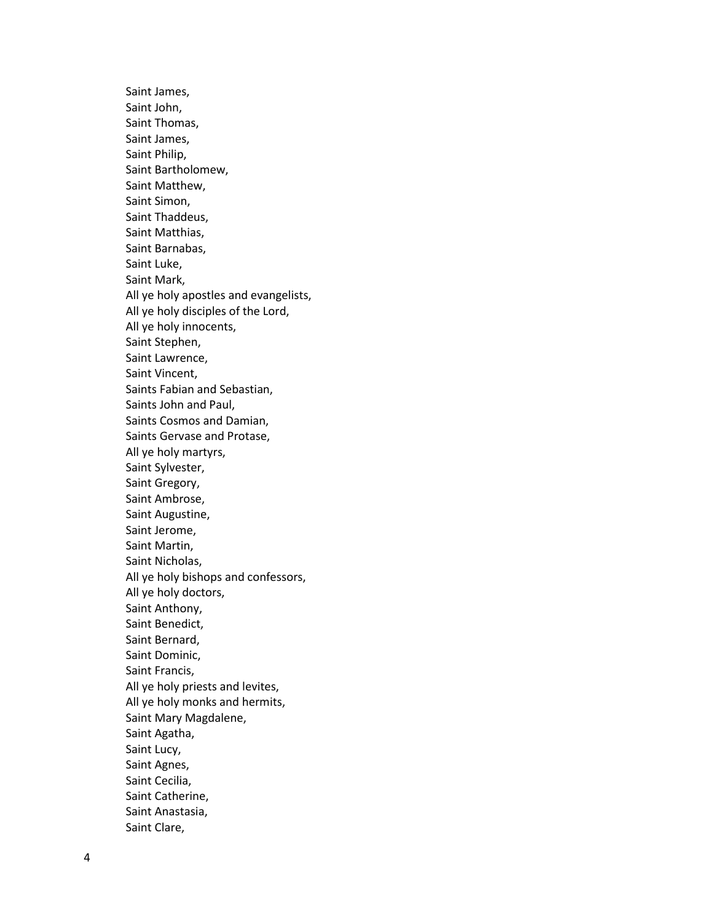Saint James, Saint John, Saint Thomas, Saint James, Saint Philip, Saint Bartholomew, Saint Matthew, Saint Simon, Saint Thaddeus, Saint Matthias, Saint Barnabas, Saint Luke, Saint Mark, All ye holy apostles and evangelists, All ye holy disciples of the Lord, All ye holy innocents, Saint Stephen, Saint Lawrence, Saint Vincent, Saints Fabian and Sebastian, Saints John and Paul, Saints Cosmos and Damian, Saints Gervase and Protase, All ye holy martyrs, Saint Sylvester, Saint Gregory, Saint Ambrose, Saint Augustine, Saint Jerome, Saint Martin, Saint Nicholas, All ye holy bishops and confessors, All ye holy doctors, Saint Anthony, Saint Benedict, Saint Bernard, Saint Dominic, Saint Francis, All ye holy priests and levites, All ye holy monks and hermits, Saint Mary Magdalene, Saint Agatha, Saint Lucy, Saint Agnes, Saint Cecilia, Saint Catherine, Saint Anastasia, Saint Clare,